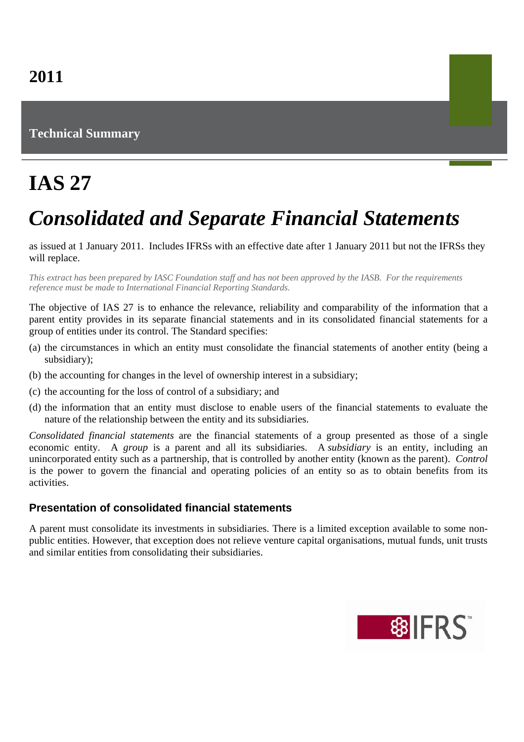# **Technical Summary**

# **IAS 27**

# *Consolidated and Separate Financial Statements*

as issued at 1 January 2011. Includes IFRSs with an effective date after 1 January 2011 but not the IFRSs they will replace.

*This extract has been prepared by IASC Foundation staff and has not been approved by the IASB. For the requirements reference must be made to International Financial Reporting Standards.*

The objective of IAS 27 is to enhance the relevance, reliability and comparability of the information that a parent entity provides in its separate financial statements and in its consolidated financial statements for a group of entities under its control. The Standard specifies:

- (a) the circumstances in which an entity must consolidate the financial statements of another entity (being a subsidiary);
- (b) the accounting for changes in the level of ownership interest in a subsidiary;
- (c) the accounting for the loss of control of a subsidiary; and
- (d) the information that an entity must disclose to enable users of the financial statements to evaluate the nature of the relationship between the entity and its subsidiaries.

*Consolidated financial statements* are the financial statements of a group presented as those of a single economic entity. A *group* is a parent and all its subsidiaries. A *subsidiary* is an entity, including an unincorporated entity such as a partnership, that is controlled by another entity (known as the parent). *Control* is the power to govern the financial and operating policies of an entity so as to obtain benefits from its activities.

#### **Presentation of consolidated financial statements**

A parent must consolidate its investments in subsidiaries. There is a limited exception available to some nonpublic entities. However, that exception does not relieve venture capital organisations, mutual funds, unit trusts and similar entities from consolidating their subsidiaries.

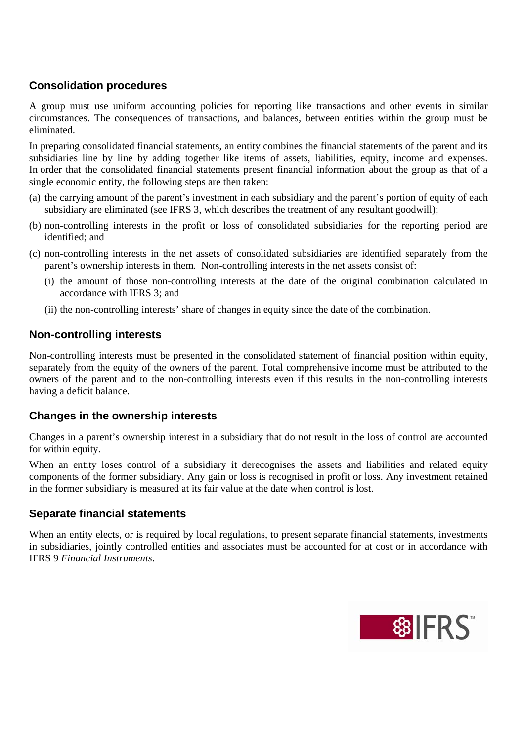## **Consolidation procedures**

A group must use uniform accounting policies for reporting like transactions and other events in similar circumstances. The consequences of transactions, and balances, between entities within the group must be eliminated.

In preparing consolidated financial statements, an entity combines the financial statements of the parent and its subsidiaries line by line by adding together like items of assets, liabilities, equity, income and expenses. In order that the consolidated financial statements present financial information about the group as that of a single economic entity, the following steps are then taken:

- (a) the carrying amount of the parent's investment in each subsidiary and the parent's portion of equity of each subsidiary are eliminated (see IFRS 3, which describes the treatment of any resultant goodwill);
- (b) non-controlling interests in the profit or loss of consolidated subsidiaries for the reporting period are identified; and
- (c) non-controlling interests in the net assets of consolidated subsidiaries are identified separately from the parent's ownership interests in them. Non-controlling interests in the net assets consist of:
	- (i) the amount of those non-controlling interests at the date of the original combination calculated in accordance with IFRS 3; and
	- (ii) the non-controlling interests' share of changes in equity since the date of the combination.

### **Non-controlling interests**

Non-controlling interests must be presented in the consolidated statement of financial position within equity, separately from the equity of the owners of the parent. Total comprehensive income must be attributed to the owners of the parent and to the non-controlling interests even if this results in the non-controlling interests having a deficit balance.

#### **Changes in the ownership interests**

Changes in a parent's ownership interest in a subsidiary that do not result in the loss of control are accounted for within equity.

When an entity loses control of a subsidiary it derecognises the assets and liabilities and related equity components of the former subsidiary. Any gain or loss is recognised in profit or loss. Any investment retained in the former subsidiary is measured at its fair value at the date when control is lost.

## **Separate financial statements**

When an entity elects, or is required by local regulations, to present separate financial statements, investments in subsidiaries, jointly controlled entities and associates must be accounted for at cost or in accordance with IFRS 9 *Financial Instruments*.